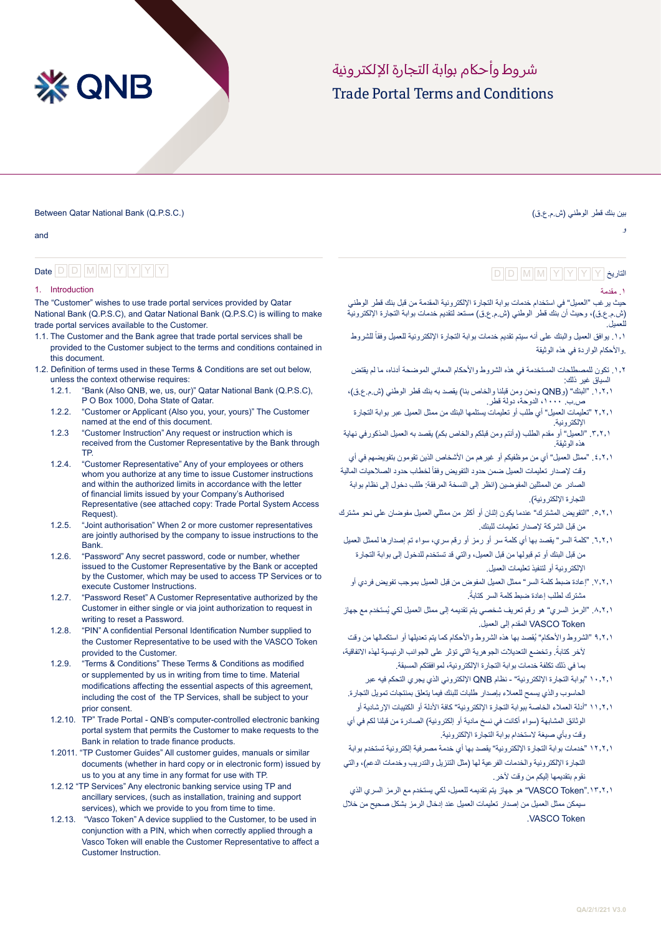# **XX QNB**

# Trade Portal Terms and Conditions شر وط وأحكام بوابة التجارة الإلكتر ونية

Between Qatar National Bank (Q.P.S.C.)

and

# Date  $D$  D M M Y Y Y Y

#### 1. Introduction

The "Customer" wishes to use trade portal services provided by Qatar National Bank (Q.P.S.C), and Qatar National Bank (Q.P.S.C) is willing to make trade portal services available to the Customer.

- 1.1. The Customer and the Bank agree that trade portal services shall be provided to the Customer subject to the terms and conditions contained in this document.
- 1.2. Definition of terms used in these Terms & Conditions are set out below, unless the context otherwise requires:
	- 1.2.1. "Bank (Also QNB, we, us, our)" Qatar National Bank (Q.P.S.C), P O Box 1000, Doha State of Qatar.
	- 1.2.2. "Customer or Applicant (Also you, your, yours)" The Customer named at the end of this document.
	- 1.2.3 "Customer Instruction" Any request or instruction which is received from the Customer Representative by the Bank through TP.
	- 1.2.4. "Customer Representative" Any of your employees or others whom you authorize at any time to issue Customer instructions and within the authorized limits in accordance with the letter of financial limits issued by your Company's Authorised Representative (see attached copy: Trade Portal System Access Request).
	- 1.2.5. "Joint authorisation" When 2 or more customer representatives are jointly authorised by the company to issue instructions to the Bank.
	- 1.2.6. "Password" Any secret password, code or number, whether issued to the Customer Representative by the Bank or accepted by the Customer, which may be used to access TP Services or to execute Customer Instructions.
	- 1.2.7. "Password Reset" A Customer Representative authorized by the Customer in either single or via joint authorization to request in writing to reset a Password.
	- 1.2.8. "PIN" A confidential Personal Identification Number supplied to the Customer Representative to be used with the VASCO Token provided to the Customer.
	- 1.2.9. "Terms & Conditions" These Terms & Conditions as modified or supplemented by us in writing from time to time. Material modifications affecting the essential aspects of this agreement, including the cost of the TP Services, shall be subject to your prior consent.
	- 1.2.10. TP" Trade Portal QNB's computer-controlled electronic banking portal system that permits the Customer to make requests to the Bank in relation to trade finance products.
	- 1.2011. "TP Customer Guides" All customer guides, manuals or similar documents (whether in hard copy or in electronic form) issued by us to you at any time in any format for use with TP.
	- 1.2.12 "TP Services" Any electronic banking service using TP and ancillary services, (such as installation, training and support services), which we provide to you from time to time.
	- 1.2.13. "Vasco Token" A device supplied to the Customer, to be used in conjunction with a PIN, which when correctly applied through a Vasco Token will enable the Customer Representative to affect a Customer Instruction.

# و

بين بنك قطر الوطني (ش.م.ع.ق)

# التاريخ D D M M Y Y Y Y D D M M Y Y Y Y

#### .1 مقدمة

حيث يرغب "العميل" في استخدام خدمات بوابة التجارة اإللكترونية المقدمة من قبل بنك قطر الوطني (ش.م.ع.ق)، وحيث أن بنك قطر الوطني (ش.م.ع.ق) مستعد لتقديم خدمات بوابة التجارة الإلكترونية للعميل .

١,١. يوافق العميل والبنك على أنه سيتم تقديم خدمات بوابة التجارة الإلكترونية للعميل وفقاً للشروط .واألحكام الواردة في هذه الوثيقة

- ١,٢. تكون للمصطلحات المستخدمة في هذه الشروط والأحكام المعاني الموضحة أدناه، ما لم يقتض السياق غير ذلك:
- .1.2.1 "البنك" )وQNB ونحن ومن قبلنا والخاص بنا( يقصد به بنك قطر الوطني )ش.م.ع.ق(، ص.ب. ،1000 الدوحة، دولة قطر.
- 2.2.1 "تعليمات العميل" أي طلب أو تعليمات يستلمها البنك من ممثل العميل عبر بوابة التجارة اإللكترونية.
- ٠.٦.٦ "العميل" أو مقدم الطلب (وأنتم ومن قبلكم والخاص بكم) يقصد به العميل المذكورفي نهاية هذه الوثيقة.
- 1, ٤, 1. "ممثل العميل" أي من موظفيكم أو غير هم من الأشخاص الذين تقومون بتفويضهم في أي رقت لإصدار تعليمات العميل ضمن حدود التفويض وفقأ لخطاب حدود الصلاحيات المالية الصادر عن الممثلين المفوضين )انظر إلى النسخة المرفقة: طلب دخول إلى نظام بوابة التجار ة الإلكتر ونية).
- .5.2.1 "التفويض المشترك" عندما يكون إثنان أو أكثر من ممثلي العميل مفوضان على نحو مشترك من قبل الشركة إلصدار تعليمات للبنك.
- .6.2.1 "كلمة السر" يقصد بها أي كلمة سر أو رمز أو رقم سري، سواء تم إصدارها لممثل العميل من قبل البنك أو تم قبولها من قبل العميل، والتي قد تستخدم للدخول إلى بوابة التجارة اإللكترونية أو لتنفيذ تعليمات العميل.
- .7.2.1 "إعادة ضبط كلمة السر" ممثل العميل المفوض من قبل العميل بموجب تفويض فردي أو .ً مشترك لطلب إعادة ضبط كلمة السر كتابة
- .8.2.1 "الرمز السري" ُ هو رقم تعريف شخصي يتم تقديمه إلى ممثل العميل لكي يستخدم مع جهاز VASCO Token المقدم إلى العميل.
- 9.2.1 "الشروط واألحكام" ُ يقصد بها هذه الشروط واألحكام كما يتم تعديلها أو استكمالها من وقت لأخر كتابةً. وتخضع التعديلات الجوهرية التي تؤثر على الجوانب الرئيسية لهذه الاتفاقية، بما في ذلك تكلفة خدمات بوابة التجارة اإللكترونية، لموافقتكم المسبقة.
- 10.2.1 "بوابة التجارة اإللكترونية" نظام QNB اإللكتروني الذي يجري التحكم فيه عبر الحاسوب والذي يسمح للعمالء بإصدار طلبات للبنك فيما يتعلق بمنتجات تمويل التجارة.
- 11.2.1 "أدلة العمالء الخاصة ببوابة التجارة اإللكترونية" كافة األدلة أو الكتيبات اإلرشادية أو الوثائق المشابهة (سواء أكانت في نسخ مادية أو إلكترونية) الصادرة من قبلنا لكم في أي وقت وبأي صيغة الستخدام بوابة التجارة اإللكترونية.
- 12.2.1 "خدمات بوابة التجارة اإللكترونية" يقصد بها أي خدمة مصرفية إلكترونية تستخدم بوابة التجارة اإللكترونية والخدمات الفرعية لها )مثل التنزيل والتدريب وخدمات الدعم(، والتي نقوم بتقديمها إليكم من وقت آلخر.
- .13.2.1"Token VASCO "هو جهاز يتم تقديمه للعميل، لكي يستخدم مع الرمز السري الذي سيمكن ممثل العميل من إصدار تعليمات العميل عند إدخال الرمز بشكل صحيح من خالل .VASCO Token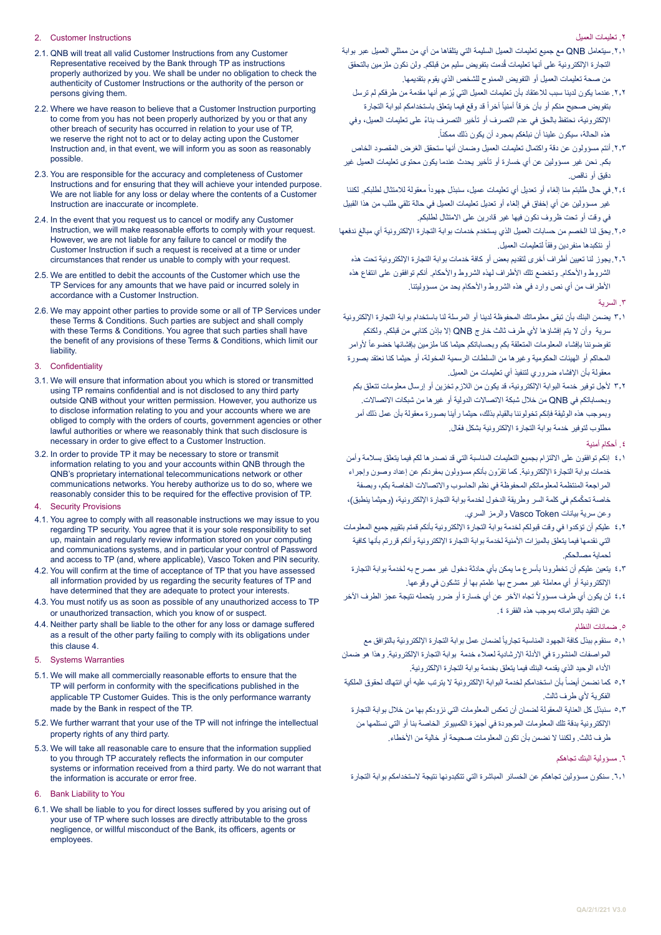#### 2. Customer Instructions

- 2.1. QNB will treat all valid Customer Instructions from any Customer Representative received by the Bank through TP as instructions properly authorized by you. We shall be under no obligation to check the authenticity of Customer Instructions or the authority of the person or persons giving them.
- 2.2. Where we have reason to believe that a Customer Instruction purporting to come from you has not been properly authorized by you or that any other breach of security has occurred in relation to your use of TP, we reserve the right not to act or to delay acting upon the Customer Instruction and, in that event, we will inform you as soon as reasonably possible.
- 2.3. You are responsible for the accuracy and completeness of Customer Instructions and for ensuring that they will achieve your intended purpose. We are not liable for any loss or delay where the contents of a Customer Instruction are inaccurate or incomplete.
- 2.4. In the event that you request us to cancel or modify any Customer Instruction, we will make reasonable efforts to comply with your request. However, we are not liable for any failure to cancel or modify the Customer Instruction if such a request is received at a time or under circumstances that render us unable to comply with your request.
- 2.5. We are entitled to debit the accounts of the Customer which use the TP Services for any amounts that we have paid or incurred solely in accordance with a Customer Instruction.
- 2.6. We may appoint other parties to provide some or all of TP Services under these Terms & Conditions. Such parties are subject and shall comply with these Terms & Conditions. You agree that such parties shall have the benefit of any provisions of these Terms & Conditions, which limit our liability.

#### 3. Confidentiality

- 3.1. We will ensure that information about you which is stored or transmitted using TP remains confidential and is not disclosed to any third party outside QNB without your written permission. However, you authorize us to disclose information relating to you and your accounts where we are obliged to comply with the orders of courts, government agencies or other lawful authorities or where we reasonably think that such disclosure is necessary in order to give effect to a Customer Instruction.
- 3.2. In order to provide TP it may be necessary to store or transmit information relating to you and your accounts within QNB through the QNB's proprietary international telecommunications network or other communications networks. You hereby authorize us to do so, where we reasonably consider this to be required for the effective provision of TP.
- 4. Security Provisions
- 4.1. You agree to comply with all reasonable instructions we may issue to you regarding TP security. You agree that it is your sole responsibility to set up, maintain and regularly review information stored on your computing and communications systems, and in particular your control of Password and access to TP (and, where applicable), Vasco Token and PIN security.
- 4.2. You will confirm at the time of acceptance of TP that you have assessed all information provided by us regarding the security features of TP and have determined that they are adequate to protect your interests.
- 4.3. You must notify us as soon as possible of any unauthorized access to TP or unauthorized transaction, which you know of or suspect.
- 4.4. Neither party shall be liable to the other for any loss or damage suffered as a result of the other party failing to comply with its obligations under this clause 4.
- 5. Systems Warranties
- 5.1. We will make all commercially reasonable efforts to ensure that the TP will perform in conformity with the specifications published in the applicable TP Customer Guides. This is the only performance warranty made by the Bank in respect of the TP.
- 5.2. We further warrant that your use of the TP will not infringe the intellectual property rights of any third party.
- 5.3. We will take all reasonable care to ensure that the information supplied to you through TP accurately reflects the information in our computer systems or information received from a third party. We do not warrant that the information is accurate or error free.
- 6. Bank Liability to You
- 6.1. We shall be liable to you for direct losses suffered by you arising out of your use of TP where such losses are directly attributable to the gross negligence, or willful misconduct of the Bank, its officers, agents or employees.

#### .2 تعليمات العميل

- .2.1سيتعامل QNB مع جميع تعليمات العميل السليمة التي يتلقاها من أي من ممثلي العميل عبر بوابة التجارة الإلكترونية على أنها تعليمات قُدمت بتفويض سليم من قبلكم. ولن نكون ملزمين بالتحقق من صحة تعليمات العميل أو التفويض الممنوح للشخص الذي يقوم بتقديمها.
	- .2.2 ُ عندما يكون لدينا سبب لالعتقاد بأن تعليمات العميل التي يزعم أنها مقدمة من طرفكم لم ترسل بتفويض صحيح منكم أو بأن خرقاً أمنياً آخراً قد وقع فيما يتعلق باستخدامكم لبوابة التجارة ً اإللكترونية، نحتفظ بالحق في عدم التصرف أو تأخير التصرف بناء على تعليمات العميل، وفي .ً هذه الحالة، سيكون علينا أن نبلغكم بمجرد أن يكون ذلك ممكنا
- .2.3أنتم مسؤولون عن دقة واكتمال تعليمات العميل وضمان أنها ستحقق الغرض المقصود الخاص بكم. نحن غير مسؤولين عن أي خسارة أو تأخير يحدث عندما يكون محتوى تعليمات العميل غير دقيق أو ناقص.
- ٢,٤. في حال طلبتم منا إلغاء أو تعديل أي تعليمات عميل، سنبذل جهوداً معقولة للامتثال لطلبكم. لكننا غير مسؤولين عن أي إخفاق في إلغاء أو تعديل تعليمات العميل في حالة تلقي طلب من هذا القبيل في وقت أو تحت ظروف نكون فيها غير قادرين على االمتثال لطلبكم.
- .2.5يحق لنا الخصم من حسابات العميل الذي يستخدم خدمات بوابة التجارة اإللكترونية أي مبالغ ندفعها او نتكبدها منفردين وفقأ لتعليمات العميل.
	- .2.6يجوز لنا تعيين أطراف أخرى لتقديم بعض أو كافة خدمات بوابة التجارة اإللكترونية تحت هذه الشروط والأحكام. وتخضع تلك الأطراف لهذه الشروط والأحكام. أنكم توافقون على انتفاع هذه األطراف من أي نص وارد في هذه الشروط واألحكام يحد من مسؤوليتنا.

### .3 السرية

- 3.1 يضمن البنك بأن تبقى معلوماتك المحفوظة لدينا أو المرسلة لنا باستخدام بوابة التجارة اإللكترونية سرية وأن ال يتم إفشاؤها ألي طرف ثالث خارج QNB إال بإذن كتابي من قبلكم. ولكنكم تفوضوننا بإفشاء المعلومات المتعلقة بكم وبحساباتكم حيثما كنا ملزمين بإفشائها خضوعأ لأوامر المحاكم أو الهيئات الحكومية وغيرها من السلطات الرسمية المخولة، أو حيثما كنا نعتقد بصورة معقولة بأن اإلفشاء ضروري لتنفيذ أي تعليمات من العميل.
	- 3.2 ألجل توفير خدمة البوابة اإللكترونية، قد يكون من الالزم تخزين أو إرسال معلومات تتعلق بكم وبحساباتكم في QNB من خالل شبكة االتصاالت الدولية أو غيرها من شبكات االتصاالت. وبموجب هذه الوثيقة فإنكم تخولوننا بالقيام بذلك، حيثما رأينا بصورة معقولة بأن عمل ذلك أمر ّ مطلوب لتوفير خدمة بوابة التجارة اإللكترونية بشكل فعال.
		- ٤. أحكام أمنية
- 4.1 إنكم توافقون على االلتزام بجميع التعليمات المناسبة التي قد نصدرها لكم فيما يتعلق بسالمة وأمن ّ خدمات بوابة التجارة اإللكترونية. كما تقرون بأنكم مسؤولون بمفردكم عن إعداد وصون وإجراء المراجعة المنتظمة لمعلوماتكم المحفوظة في نظم الحاسوب واالتصاالت الخاصة بكم، وبصفة خاصة تحكّمكم في كلمة السر وطريقة الدخول لخدمة بوابة التجارة الإلكترونية، (وحيثما ينطبق)، وعن سرية بيانات Token Vasco والرمز السري.
- 4.2 عليكم أن تؤكدوا في وقت قبولكم لخدمة بوابة التجارة اإللكترونية بأنكم قمتم بتقييم جميع المعلومات التي نقدمها فيما يتعلق بالميزات األمنية لخدمة بوابة التجارة اإللكترونية وأنكم قررتم بأنها كافية لحماية مصالحكم.
- 4.3 يتعين عليكم أن تخطرونا بأسرع ما يمكن بأي حادثة دخول غير مصرح به لخدمة بوابة التجارة اإللكترونية أو أي معاملة غير مصرح بها علمتم بها أو تشكون في وقوعها.
- ٤,٤ لن يكون أي طرف مسؤولاً تجاه الآخر عن أي خسارة أو ضرر يتحمله نتيجة عجز الطرف الآخر عن التقيد بالتزاماته بموجب هذه الفقرة .4

#### .5 ضمانات النظام

- ٥,١ سنقوم ببذل كافة الجهود المناسبة تجارياً لضمان عمل بوابة التجارة الإلكترونية بالتوافق مع المواصفات المنشورة في األدلة اإلرشادية لعمالء خدمة بوابة التجارة اإللكترونية. وهذا هو ضمان األداء الوحيد الذي يقدمه البنك فيما يتعلق بخدمة بوابة التجارة اإللكترونية.
- ٥,٢ كما نضمن أيضاً بأن استخدامكم لخدمة البوابة الإلكترونية لا يترتب عليه أي انتهاك لحقوق الملكية الفكرية لأي طرف ثالث.
- 5.3 سنبذل كل العناية المعقولة لضمان أن تعكس المعلومات التي نزودكم بها من خالل بوابة التجارة اإللكترونية بدقة تلك المعلومات الموجودة في أجهزة الكمبيوتر الخاصة بنا أو التي نستلمها من طرف ثالث. ولكننا ال نضمن بأن تكون المعلومات صحيحة أو خالية من األخطاء.

## .6 مسؤولية البنك تجاهكم

.6.1 سنكون مسؤولين تجاهكم عن الخسائر المباشرة التي تتكبدونها نتيجة الستخدامكم بوابة التجارة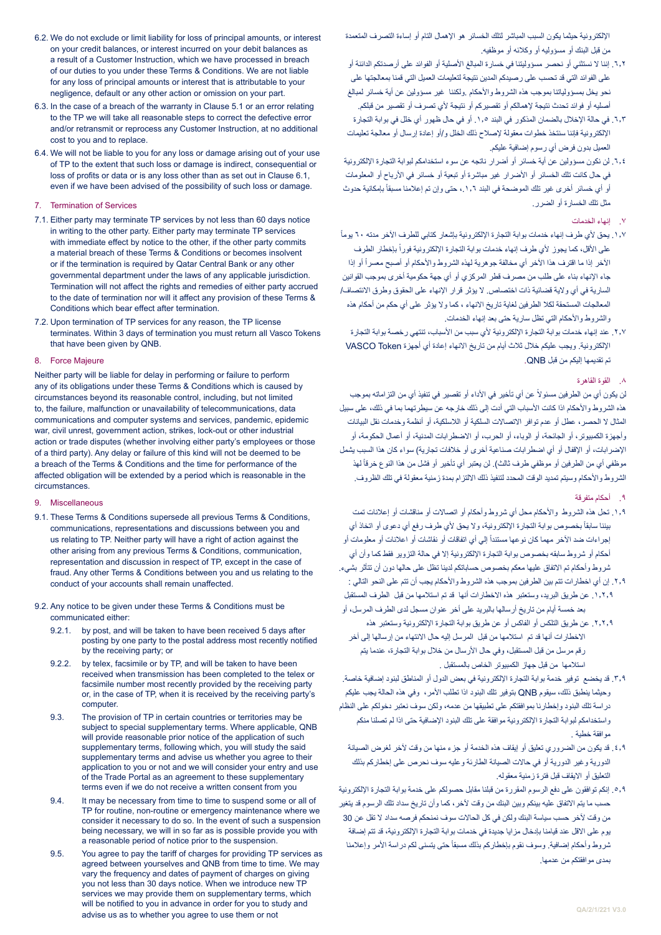اإللكترونية حيثما يكون السبب المباشر لتلك الخسائر هو اإلهمال التام أو إساءة التصرف المتعمدة من قبل البنك أو مسؤوليه أو وكالئه أو موظفيه.

- ٦٫٢. إننا لا نستثني أو نحصر مسؤوليتنا في خسارة المبالغ الأصلية أو الفوائد على أرصدتكم الدائنة أو على الفوائد التي قد تحسب على رصيدكم المدين نتيجة لتعليمات العميل التي قمنا بمعالجتها على نحو يخل بمسؤولياتنا بموجب هذه الشروط واألحكام .ولكننا غير مسؤولين عن أية خسائر لمبالغ أصليه أو فوائد تحدث نتيجة إلهمالكم أو تقصيركم أو نتيجة ألي تصرف أو تقصير من قبلكم.
- ٦٫٣. في حالة الإخلال بالضمان المذكور في البند ١٫٥. أو في حال ظهور أي خلل في بوابة التجارة اإللكترونية فإننا سنتخذ خطوات معقولة إلصالح ذلك الخلل و/أو إعادة إرسال أو معالجة تعليمات العميل بدون فرض أي رسوم إضافية عليكم.
- .6.4 لن نكون مسؤولين عن أية خسائر أو أضرار ناتجه عن سوء استخدامكم لبوابة التجارة اإللكترونية في حال كانت تلك الخسائر أو األضرار غير مباشرة أو تبعية أو خسائر في األرباح أو المعلومات أو أي خسائر أخرى غير تلك الموضحة في البند ١,٦ ، حتى وإن تم إعلامنا مسبقاً بإمكانية حدوث مثل تلك الخسارة أو الضرر.
	- .7 إنهاء الخدمات
- ١,٧. يحق لأي طرف إنهاء خدمات بوابة التجارة الإلكترونية بإشعار كتابي للطرف الآخر مدته ٢٠ يوماً على الأقل، كما يجوز لأي طرف إنهاء خدمات بوابة التجارة الإلكترونية فوراً بإخطار الطرف الأخر إذا ما اقترف هذا الأخر أي مخالفة جوهرية لمهذه الشروط والأحكام أو أصبح معسراً أو إذا جاء اإلنهاء بناء على طلب من مصرف قطر المركزي أو أي جهة حكومية أخرى بموجب القوانين السارية في أي والية قضائية ذات اختصاص. ال يؤثر قرار اإلنهاء على الحقوق وطرق االنتصاف/ المعالجات المستحقة لكال الطرفين لغاية تاريخ االنهاء ، كما وال يؤثر على أي حكم من أحكام هذه والشروط والأحكام التي تظل سارية حتى بعد إنهاء الخدمات.
	- ٢٫٧ عند إنهاء خدمات بوابة التجارة الإلكترونية لأي سبب من الأسباب، تنتهي رخصة بوابة التجارة اإللكترونية. ويجب عليكم خالل ثالث أيام من تاريخ االنهاء إعادة أي أجهزة Token VASCO تم تقديمها إليكم من قبل QNB.
		- .8 القوة القاهرة

لن يكون أي من الطر فين مسئو لاً عن أي تأخير في الأداء أو تقصير في تنفيذ أي من التز اماته بموجب هذه الشر و ط و الأحكام اذا كانت الأسباب التي أدت إلى ذلك خار جه عن سيطر تهما بما في ذلك، على سبيل المثال ال الحصر، عطل أو عدم توافر االتصاالت السلكية أو الالسلكية، أو أنظمة وخدمات نقل البيانات وأجهزة الكمبيوتر، أو الجائحة، أو الوباء، أو الحرب، أو االضطرابات المدنية، أو أعمال الحكومة، أو الإضرابات، أو الإقفال أو أي اضطرابات صناعية أخرى أو خلافات تجارية) سواء كان هذا السبب يشمل موظفي أي من الطرفين أو موظفي طرف ثالث). لن يعتبر أي تأخير أو فشل من هذا النوع خرقاً لهذ الشروط والأحكام وسيتم تمديد الوقت المحدد لتنفيذ ذلك الالتزام بمدة زمنية معقولة في تلك الظروف.

- .9 أحكام متفرقة
- .1.9 تحل هذه الشروط واألحكام محل أي شروط وأحكام أو اتصاالت أو مناقشات أو إعالنات تمت بيننا سابقاً بخصوص بوابة التجارة الإلكترونية، ولا يحق لأي طرف رفع أي دعوى أو اتخاذ أي إجراءات ضد الآخر مهما كان نوعها مستندأ إلي أي اتفاقات أو نقاشات أو اعلانات أو معلومات أو أحكام أو شروط سابقه بخصوص بوابة التجارة اإللكترونية إال في حالة التزوير فقط كما وأن أي شروط وأحكام تم االتفاق عليها معكم بخصوص حساباتكم لدينا تظل على حالها دون أن تتأثر بشيء.
- .2.9 إن أي اخطارات تتم بين الطرفين بموجب هذه الشروط واألحكام يجب أن تتم على النحو التالي : .1.2.9 عن طريق البريد، وستعتبر هذه االخطارات أنها قد تم استالمها من قبل الطرف المستقبل بعد خمسة أيام من تاريخ أرسالها بالبريد على أخر عنوان مسجل لدى الطرف المرسل، أو
- .2.2.9 عن طريق التلكس أو الفاكس أو عن طريق بوابة التجارة اإللكترونية وستعتبر هذه االخطارات أنها قد تم استالمها من قبل المرسل إليه حال االنتهاء من إرسالها إلى آخر رقم مرسل من قبل المستقبل، وفي حال الأرسال من خلال بوابة التجارة، عندما يتم استالمها من قبل جهاز الكمبيوتر الخاص بالمستقبل .
- .3.9 قد يخضع توفير خدمة بوابة التجارة اإللكترونية في بعض الدول أو المناطق لبنود إضافية خاصة. وحيثما ينطبق ذلك، سيقوم QNB بتوفير تلك البنود اذا تطلب األمر، وفي هذه الحالة يجب عليكم دراسة تلك البنود وإخطارنا بموافقتكم على تطبيقها من عدمه، ولكن سوف نعتبر دخولكم على النظام واستخدامكم لبوابة التجارة الإلكتر ونية موافقة على تلك البنود الإضافية حتى اذا لم تصلنا منكم موافقة خطية .
- .4.9 قد يكون من الضروري تعليق أو إيقاف هذه الخدمة أو جزء منها من وقت آلخر لغرض الصيانة الدورية وغير الدورية أو في حاالت الصيانة الطارئة وعليه سوف نحرص على إخطاركم بذلك التعليق أو االيقاف قبل فترة زمنية معقوله.
- .5.9 إنكم توافقون على دفع الرسوم المقررة من قبلنا مقابل حصولكم على خدمة بوابة التجارة اإللكترونية حسب ما يتم االتفاق عليه بينكم وبين البنك من وقت آلخر، كما وأن تاريخ سداد تلك الرسوم قد يتغير من وقت آلخر حسب سياسة البنك ولكن في كل الحاالت سوف نمنحكم فرصه سداد ال تقل عن 30 يوم على االقل عند قيامنا بإدخال مزايا جديدة في خدمات بوابة التجارة اإللكترونية، قد تتم إضافة شروط وأحكام إضافية. وسوف نقوم بإخطاركم بذلك مسبقاً حتى يتسنى لكم دراسة الأمر وإعلامنا بمدى موافقتكم من عدمها.
- 6.2. We do not exclude or limit liability for loss of principal amounts, or interest on your credit balances, or interest incurred on your debit balances as a result of a Customer Instruction, which we have processed in breach of our duties to you under these Terms & Conditions. We are not liable for any loss of principal amounts or interest that is attributable to your negligence, default or any other action or omission on your part.
- 6.3. In the case of a breach of the warranty in Clause 5.1 or an error relating to the TP we will take all reasonable steps to correct the defective error and/or retransmit or reprocess any Customer Instruction, at no additional cost to you and to replace.
- 6.4. We will not be liable to you for any loss or damage arising out of your use of TP to the extent that such loss or damage is indirect, consequential or loss of profits or data or is any loss other than as set out in Clause 6.1, even if we have been advised of the possibility of such loss or damage.
- 7. Termination of Services
- 7.1. Either party may terminate TP services by not less than 60 days notice in writing to the other party. Either party may terminate TP services with immediate effect by notice to the other, if the other party commits a material breach of these Terms & Conditions or becomes insolvent or if the termination is required by Qatar Central Bank or any other governmental department under the laws of any applicable jurisdiction. Termination will not affect the rights and remedies of either party accrued to the date of termination nor will it affect any provision of these Terms & Conditions which bear effect after termination.
- 7.2. Upon termination of TP services for any reason, the TP license terminates. Within 3 days of termination you must return all Vasco Tokens that have been given by QNB.
- 8. Force Majeure

Neither party will be liable for delay in performing or failure to perform any of its obligations under these Terms & Conditions which is caused by circumstances beyond its reasonable control, including, but not limited to, the failure, malfunction or unavailability of telecommunications, data communications and computer systems and services, pandemic, epidemic war, civil unrest, government action, strikes, lock-out or other industrial action or trade disputes (whether involving either party's employees or those of a third party). Any delay or failure of this kind will not be deemed to be a breach of the Terms & Conditions and the time for performance of the affected obligation will be extended by a period which is reasonable in the circumstances.

- 9. Miscellaneous
- 9.1. These Terms & Conditions supersede all previous Terms & Conditions, communications, representations and discussions between you and us relating to TP. Neither party will have a right of action against the other arising from any previous Terms & Conditions, communication, representation and discussion in respect of TP, except in the case of fraud. Any other Terms & Conditions between you and us relating to the conduct of your accounts shall remain unaffected.
- 9.2. Any notice to be given under these Terms & Conditions must be communicated either:
	- 9.2.1. by post, and will be taken to have been received 5 days after posting by one party to the postal address most recently notified by the receiving party; or
	- 9.2.2. by telex, facsimile or by TP, and will be taken to have been received when transmission has been completed to the telex or facsimile number most recently provided by the receiving party or, in the case of TP, when it is received by the receiving party's computer.
	- 9.3. The provision of TP in certain countries or territories may be subject to special supplementary terms. Where applicable, QNB will provide reasonable prior notice of the application of such supplementary terms, following which, you will study the said supplementary terms and advise us whether you agree to their application to you or not and we will consider your entry and use of the Trade Portal as an agreement to these supplementary terms even if we do not receive a written consent from you
	- 9.4. It may be necessary from time to time to suspend some or all of TP for routine, non-routine or emergency maintenance where we consider it necessary to do so. In the event of such a suspension being necessary, we will in so far as is possible provide you with a reasonable period of notice prior to the suspension.
	- 9.5. You agree to pay the tariff of charges for providing TP services as agreed between yourselves and QNB from time to time. We may vary the frequency and dates of payment of charges on giving you not less than 30 days notice. When we introduce new TP services we may provide them on supplementary terms, which will be notified to you in advance in order for you to study and advise us as to whether you agree to use them or not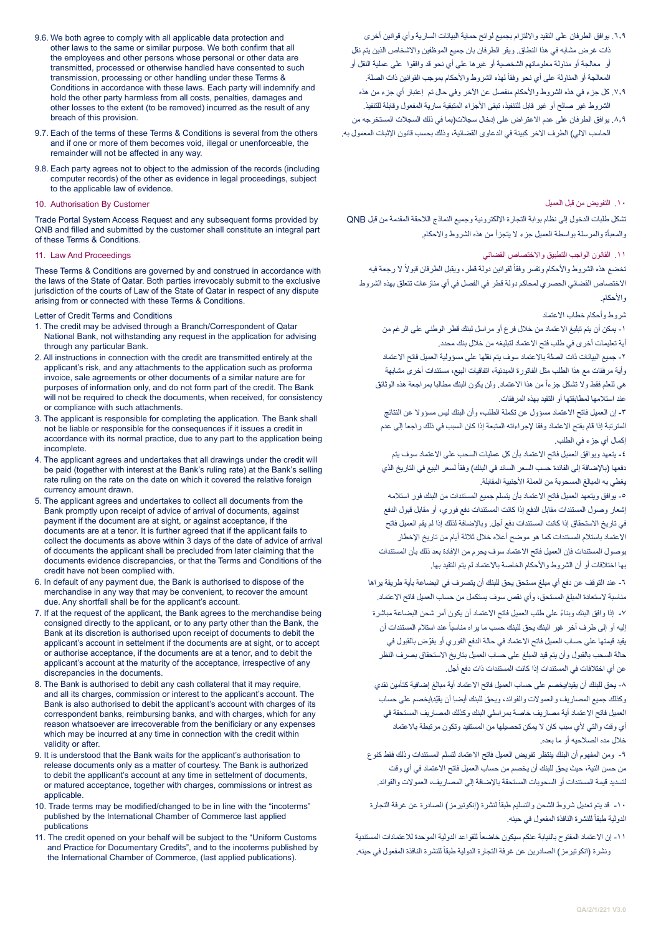- 9.6. We both agree to comply with all applicable data protection and other laws to the same or similar purpose. We both confirm that all the employees and other persons whose personal or other data are transmitted, processed or otherwise handled have consented to such transmission, processing or other handling under these Terms & Conditions in accordance with these laws. Each party will indemnify and hold the other party harmless from all costs, penalties, damages and other losses to the extent (to be removed) incurred as the result of any breach of this provision.
- 9.7. Each of the terms of these Terms & Conditions is several from the others and if one or more of them becomes void, illegal or unenforceable, the remainder will not be affected in any way.
- 9.8. Each party agrees not to object to the admission of the records (including computer records) of the other as evidence in legal proceedings, subject to the applicable law of evidence.

#### 10. Authorisation By Customer

Trade Portal System Access Request and any subsequent forms provided by QNB and filled and submitted by the customer shall constitute an integral part of these Terms & Conditions.

#### 11. Law And Proceedings

These Terms & Conditions are governed by and construed in accordance with the laws of the State of Qatar. Both parties irrevocably submit to the exclusive jurisdiction of the courts of Law of the State of Qatar in respect of any dispute arising from or connected with these Terms & Conditions.

#### Letter of Credit Terms and Conditions

- 1. The credit may be advised through a Branch/Correspondent of Qatar National Bank, not withstanding any request in the application for advising through any particular Bank.
- 2. All instructions in connection with the credit are transmitted entirely at the applicant's risk, and any attachments to the application such as proforma invoice, sale agreements or other documents of a similar nature are for purposes of information only, and do not form part of the credit. The Bank will not be required to check the documents, when received, for consistency or compliance with such attachments.
- 3. The applicant is responsible for completing the application. The Bank shall not be liable or responsible for the consequences if it issues a credit in accordance with its normal practice, due to any part to the application being incomplete.
- 4. The applicant agrees and undertakes that all drawings under the credit will be paid (together with interest at the Bank's ruling rate) at the Bank's selling rate ruling on the rate on the date on which it covered the relative foreign currency amount drawn.
- 5. The applicant agrees and undertakes to collect all documents from the Bank promptly upon receipt of advice of arrival of documents, against payment if the document are at sight, or against acceptance, if the documents are at a tenor. It is further agreed that if the applicant fails to collect the documents as above within 3 days of the date of advice of arrival of documents the applicant shall be precluded from later claiming that the documents evidence discrepancies, or that the Terms and Conditions of the credit have not been complied with.
- 6. In default of any payment due, the Bank is authorised to dispose of the merchandise in any way that may be convenient, to recover the amount due. Any shortfall shall be for the applicant's account.
- 7. If at the request of the applicant, the Bank agrees to the merchandise being consigned directly to the applicant, or to any party other than the Bank, the Bank at its discretion is authorised upon receipt of documents to debit the applicant's account in settelment if the documents are at sight, or to accept or authorise acceptance, if the documents are at a tenor, and to debit the applicant's account at the maturity of the acceptance, irrespective of any discrepancies in the documents.
- 8. The Bank is authorised to debit any cash collateral that it may require, and all its charges, commission or interest to the applicant's account. The Bank is also authorised to debit the applicant's account with charges of its correspondent banks, reimbursing banks, and with charges, which for any reason whatsoever are irrecoverable from the benificiary or any expenses which may be incurred at any time in connection with the credit within validity or after.
- 9. It is understood that the Bank waits for the applicant's authorisation to release documents only as a matter of courtesy. The Bank is authorized to debit the appllicant's account at any time in settelment of documents, or matured acceptance, together with charges, commissions or intrest as applicable.
- 10. Trade terms may be modified/changed to be in line with the "incoterms" published by the International Chamber of Commerce last applied publications
- 11. The credit opened on your behalf will be subject to the "Uniform Customs and Practice for Documentary Credits", and to the incoterms published by the International Chamber of Commerce, (last applied publications).
- ٦,٩. يوافق الطرفان على التقيد والالتزام بجميع لوائح حماية البيانات السارية وأي قوانين أخرى ذات غرض مشابه في هذا النطاق. ويقر الطرفان بان جميع الموظفين واالشخاص الذين يتم نقل أو معالجة أو مناولة معلوماتهم الشخصية أو غيرها على أي نحو قد وافقوا على عملية النقل أو المعالجة أو المناولة على أي نحو وفقاً لهذه الشروط والأحكام بموجب القوانين ذات الصلة.
- .7.9 كل جزء في هذه الشروط واألحكام منفصل عن اآلخر وفي حال تم إعتبار أي جزء من هذه الشروط غير صالح أو غير قابل للتنفيذ، تبقى األجزاء المتبقية سارية المفعول وقابلة للتنفيذ.
- .8.9 يوافق الطرفان على عدم االعتراض على إدخال سجالت)بما في ذلك السجالت المستخرجه من الحاسب الالي) الطرف الاخر كبينة في الدعاوى القضائية، وذلك بحسب قانون الإثبات المعمول به.

# .10 التفويض من قبل العميل

تشكل طلبات الدخول إلى نظام بوابة التجارة اإللكترونية وجميع النماذج الالحقة المقدمة من قبل QNB والمعبأة والمرسلة بواسطة العميل جزء ال يتجزأ من هذه الشروط واالحكام.

## .11 القانون الواجب التطبيق واالختصاص القضائي

نخضع هذه الشروط والأحكام وتفسر وفقاً لقوانين دولة قطر، ويقبل الطرفان قبولاً لا رجعة فيه االختصاص القضائي الحصري لمحاكم دولة قطر في الفصل في أي منازعات تتعلق بهذه الشروط واألحكام.

## شروط وأحكام خطاب االعتماد

-1 يمكن أن يتم تبليغ االعتماد من خالل فرع أو مراسل لبنك قطر الوطني على الرغم من أية تعليمات أخرى في طلب فتح الاعتماد لتبليغه من خلال بنك محدد.

-2 جميع البيانات ذات الصلة باالعتماد سوف يتم نقلها على مسؤولية العميل فاتح االعتماد وأية مرفقات مع هذا الطلب مثل الفاتورة المبدئية، اتفاقيات البيع، مستندات أخرى مشابهة هي للعلم فقط ولا تشكل جزءاً من هذا الاعتماد<sub>.</sub> ولن يكون البنك مطالبا بمر اجعة هذه الوثائق عند استالمها لمطابقتها أو التقيد بهذه المرفقات.

-3 إن العميل فاتح االعتماد مسؤول عن تكملة الطلب، وأن البنك ليس مسؤوال عن النتائج المترتبة إذا قام بفتح الاعتماد وفقا لإجراءاته المتبعة إذا كان السبب في ذلك راجعا إلى عدم إكمال أي جزء في الطلب.

-4 يتعهد ويوافق العميل فاتح االعتماد بأن كل عمليات السحب على االعتماد سوف يتم دفعها (بالإضافة إلى الفائدة حسب السعر السائد في البنك) وفقاً لسعر البيع في التاريخ الذي يغطي به المبالغ المسحوبة من العملة األجنبية المقابلة.

-5 يوافق ويتعهد العميل فاتح االعتماد بأن يتسلم جميع المستندات من البنك فور استالمه إشعار وصول المستندات مقابل الدفع إذا كانت المستندات دفع فوري، أو مقابل قبول الدفع في تاريخ االستحقاق إذا كانت المستندات دفع آجل. وباإلضافة لذلك إذا لم يقم العميل فاتح االعتماد باستالم المستندات كما هو موضح أعاله خالل ثالثة أيام من تاريخ اإلخطار بوصول المستندات فإن العميل فاتح االعتماد سوف يحرم من اإلفادة بعد ذلك بأن المستندات بها اختالفات أو أن الشروط واألحكام الخاصة باالعتماد لم يتم التقيد بها.

-6 عند التوقف عن دفع أي مبلغ مستحق يحق للبنك أن يتصرف في البضاعة بأية طريقة يراها مناسبة لاستعادة المبلغ المستحق، وأي نقص سوف يستكمل من حساب العميل فاتح الاعتماد.

7 ً - إذا وافق البنك وبناء على طلب العميل فاتح االعتماد أن يكون أمر شحن البضاعة مباشرة إليه أو إلى طرف آخر غير البنك يحق للبنك حسب ما ير اه مناسباً عند استلام المستندات أن يقيد قيمتها على حساب العميل فاتح الاعتماد في حالة الدفع الفوري أو يفوّض بالقبول في حالة السحب بالقبول وأن يتم قيد المبلغ على حساب العميل بتاريخ االستحقاق بصرف النظر عن أي اختالفات في المستندات إذا كانت المستندات ذات دفع آجل.

-8 يحق للبنك أن يقيد/يخصم على حساب العميل فاتح االعتماد أية مبالغ إضافية كتأمين نقدي ِ وكذلك جميع المصاريف والعموالت والفوائد، ويحق للبنك أيضا ّ أن يقيد\يخصم على حساب العميل فاتح االعتماد أية مصاريف خاصة بمراسلي البنك وكذلك المصاريف المستحقة في أي وقت والتي لأي سبب كان لا يمكن تحصيلها من المستفيد وتكون مرتبطة بالاعتماد خالل مده الصالحيه أو ما بعده.

-9 ومن المفهوم أن البنك ينتظر تفويض العميل فاتح االعتماد لتسلم المستندات وذلك فقط كنوع من حسن النية، حيث يحق للبنك أن يخصم من حساب العميل فاتح االعتماد في أي وقت لتسديد قيمة المستندات أو السحوبات المستحقة باإلضافة إلى المصاريف، العموالت والفوائد.

١٠- قد يتم تعديل شروط الشحن والتسليم طبقاً لنشرة (إنكوتيرمز) الصـادرة عن غرفة التجارة الدولية طبقاً للنشرة النافذة المفعول في حينه.

١١- إن الاعتماد المفتوح بالنيابة عنكم سيكون خاضعاً للقواعد الدولية الموحدة للاعتمادات المستندية رنشرة (انكوتيرمز ) الصـادرين عن غرفة التجارة الدولية طبقاً للنشرة النافذة المفعول في حينه.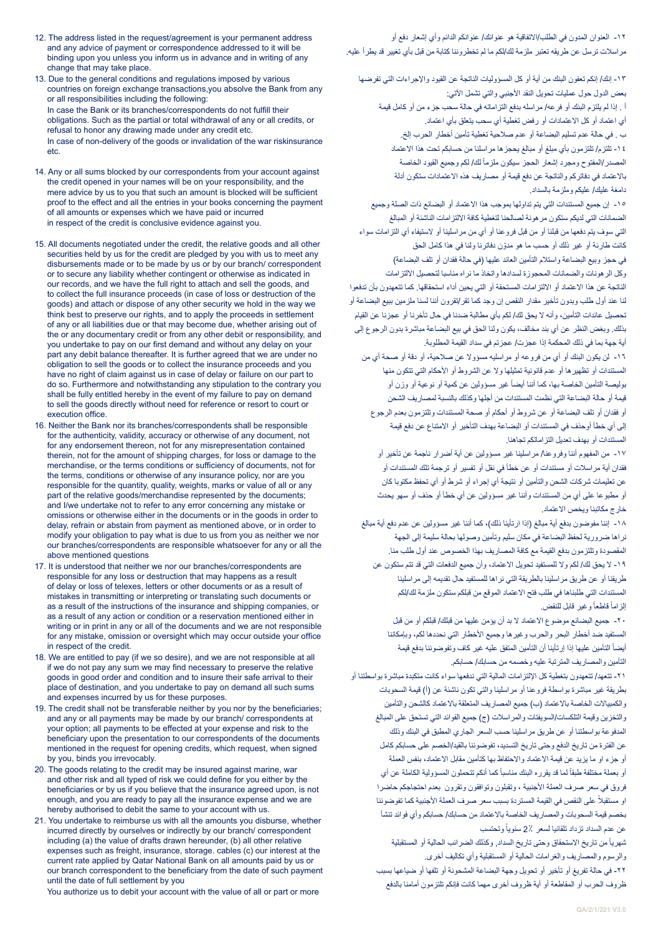- 12. The address listed in the request/agreement is your permanent address and any advice of payment or correspondence addressed to it will be binding upon you unless you inform us in advance and in writing of any change that may take place.
- 13. Due to the general conditions and regulations imposed by various countries on foreign exchange transactions,you absolve the Bank from any or all responsibilities including the following: In case the Bank or its branches/correspondents do not fulfill their obligations. Such as the partial or total withdrawal of any or all credits, or refusal to honor any drawing made under any credit etc. In case of non-delivery of the goods or invalidation of the war riskinsurance etc.
- 14. Any or all sums blocked by our correspondents from your account against the credit opened in your names will be on your responsibility, and the mere advice by us to you that such an amount is blocked will be sufficient proof to the effect and all the entries in your books concerning the payment of all amounts or expenses which we have paid or incurred in respect of the credit is conclusive evidence against you.
- 15. All documents negotiated under the credit, the relative goods and all other securities held by us for the credit are pledged by you with us to meet any disbursements made or to be made by us or by our branch/ correspondent or to secure any liability whether contingent or otherwise as indicated in our records, and we have the full right to attach and sell the goods, and to collect the full insurance proceeds (in case of loss or destruction of the goods) and attach or dispose of any other security we hold in the way we think best to preserve our rights, and to apply the proceeds in settlement of any or all liabilities due or that may become due, whether arising out of the or any documentary credit or from any other debit or responsibility, and you undertake to pay on our first demand and without any delay on your part any debit balance thereafter. It is further agreed that we are under no obligation to sell the goods or to collect the insurance proceeds and you have no right of claim against us in case of delay or failure on our part to do so. Furthermore and notwithstanding any stipulation to the contrary you shall be fully entitled hereby in the event of my failure to pay on demand to sell the goods directly without need for reference or resort to court or execution office.
- 16. Neither the Bank nor its branches/correspondents shall be responsible for the authenticity, validity, accuracy or otherwise of any document, not for any endorsement thereon, not for any misrepresentation contained therein, not for the amount of shipping charges, for loss or damage to the merchandise, or the terms conditions or sufficiency of documents, not for the terms, conditions or otherwise of any insurance policy, nor are you responsible for the quantity, quality, weights, marks or value of all or any part of the relative goods/merchandise represented by the documents; and I/we undertake not to refer to any error concerning any mistake or omissions or otherwise either in the documents or in the goods in order to delay, refrain or abstain from payment as mentioned above, or in order to modify your obligation to pay what is due to us from you as neither we nor our branches/correspondents are responsible whatsoever for any or all the above mentioned questions
- 17. It is understood that neither we nor our branches/correspondents are responsible for any loss or destruction that may happens as a result of delay or loss of telexes, letters or other documents or as a result of mistakes in transmitting or interpreting or translating such documents or as a result of the instructions of the insurance and shipping companies, or as a result of any action or condition or a reservation mentioned either in writing or in print in any or all of the documents and we are not responsible for any mistake, omission or oversight which may occur outside your office in respect of the credit.
- 18. We are entitled to pay (if we so desire), and we are not responsible at all if we do not pay any sum we may find necessary to preserve the relative goods in good order and condition and to insure their safe arrival to their place of destination, and you undertake to pay on demand all such sums and expenses incurred by us for these purposes.
- 19. The credit shall not be transferable neither by you nor by the beneficiaries; and any or all payments may be made by our branch/ correspondents at your option; all payments to be effected at your expense and risk to the beneficiary upon the presentation to our correspondents of the documents mentioned in the request for opening credits, which request, when signed by you, binds you irrevocably.
- 20. The goods relating to the credit may be insured against marine, war and other risk and all typed of risk we could define for you either by the beneficiaries or by us if you believe that the insurance agreed upon, is not enough, and you are ready to pay all the insurance expense and we are hereby authorised to debit the same to your account with us.
- 21. You undertake to reimburse us with all the amounts you disburse, whether incurred directly by ourselves or indirectly by our branch/ correspondent including (a) the value of drafts drawn hereunder, (b) all other relative expenses such as freight, insurance, storage. cables (c) our interest at the current rate applied by Qatar National Bank on all amounts paid by us or our branch correspondent to the beneficiary from the date of such payment until the date of full settlement by you

You authorize us to debit your account with the value of all or part or more

-12 العنوان المدون في الطلب/االتفاقية هو عنوانك/ عنوانكم الدائم وأي إشعار دفع أو مراسالت ترسل عن طريقه تعتبر ملزمة لك/لكم ما لم تخطروننا كتابة من قبل بأي تغيير قد يطرأ عليه.

-13 إنك/ إنكم تعفون البنك من أية أو كل المسؤوليات الناتجة عن القيود واإلجراءات التي تفرضها بعض الدول حول عمليات تحويل النقد الأجنبي والتي تشمل الآتي: أ . إذا لم يلتزم البنك أو فرعه/ مراسله بدفع التزاماته في حالة سحب جزء من أو كامل قيمة أي اعتماد أو كل االعتمادات أو رفض تغطية أي سحب يتعلق بأي اعتماد. ب . في حالة عدم تسليم البضاعة أو عدم صالحية تغطية تأمين أخطار الحرب إلخ. -14 تلتزم/ تلتزمون بأي مبلغ أو مبالغ يحجزها مراسلنا من حسابكم تحت هذا االعتماد لمصدر/المفتوح ومجرد إشعار الحجز سيكون ملزمأ لك/ لكم وجميع القيود الخاصة باالعتماد في دفاتركم والناتجة عن دفع قيمة أو مصاريف هذه االعتمادات ستكون أدلة دامغة عليك/ عليكم وملزمة بالسداد.

-15 إن جميع المستندات التي يتم تداولها بموجب هذا االعتماد أو البضائع ذات الصلة وجميع الضمانات التي لديكم ستكون مرهونة لصالحنا لتغطية كافة االلتزامات الناشئة أو المبالغ التي سوف يتم دفعها من قبلنا أو من قبل فروعنا أو أي من مراسلينا أو الستيفاء أي التزامات سواء ّ كانت طارئة أو غير ذلك أو حسب ما هو مدون دفاترنا ولنا في هذا كامل الحق في حجز وبيع البضاعة واستلام التأمين العائد عليها (في حالة فقدان أو تلف البضاعة) وكل الرهونات والضمانات المحجوزة لسدادها واتخاذ ما نراه مناسبا لتحصيل االلتزامات الناتجة عن هذا االعتماد أو االلتزامات المستحقة أو التي يحين أداء استحقاقها. كما تتعهدون بأن تدفعوا لنا عند أول طلب وبدون تأخير مقدار النقص إن وجد كما تقر/تقرون أننا لسنا ملزمين ببيع البضاعة أو تحصيل عائدات التأمين، وأنه ال يحق لك/ لكم بأي مطالبة ضدنا في حال تأخرنا أو عجزنا عن القيام بذلك. وبغض النظر عن أي بند مخالف، يكون ولنا الحق في بيع البضاعة مباشرة بدون الرجوع إلى أية جهة بما في ذلك المحكمة إذا عجزت/ عجزتم في سداد القيمة المطلوبة. -16 لن يكون البنك أو أي من فروعه أو مراسليه مسؤوال عن صالحية، أو دقة أو صحة أي من

المستندات أو تظهيرها أو عدم قانونية تمثيلها وال عن الشروط أو األحكام التي تتكون منها وليصـة التأمين الخاصـة بـها، كمـا أننـا أيضـاً غير مسؤولين عن كمية أو نوعية أو وزن أو قيمة أو حالة البضاعة التي نظمت المستندات من أجلها وكذلك بالنسبة لمصاريف الشحن أو فقدان أو تلف البضاعة أو عن شروط أو أحكام أو صحة المستندات وتلتزمون بعدم الرجوع إلى أي خطأ أوحذف في المستندات أو البضاعة بهدف التأخير أو االمتناع عن دفع قيمة المستندات أو بهدف تعديل التزاماتكم تجاهنا.

-17 من المفهوم أننا وفروعنا/ مراسلينا غير مسؤولين عن أية أضرار ناجمة عن تأخير أو فقدان أية مراسالت أو مستندات أو عن خطأ في نقل أو تفسير أو ترجمة تلك المستندات أو عن تعليمات شركات الشحن والتأمين أو نتيجة أي إجراء أو شرط أو أي تحفظ مكتوبا كان أو مطبوعا على أي من المستندات وأننا غير مسؤولين عن أي خطأ أو حذف أو سهو يحدث خارج مكاتبنا ويخص االعتماد.

1۸ - إننا مفوضون بدفع أية مبالغ (إذا ارتأينا ذلك)، كما أننا غير مسؤولين عن عدم دفع أية مبالغ نراها ضرورية لحفظ البضاعة في مكان سليم وتأمين وصولها بحالة سليمة إلى الجهة المقصودة وتلتزمون بدفع القيمة مع كافة المصاريف بهذا الخصوص عند أول طلب منا. -19 ال يحق لك/ لكم وال للمستفيد تحويل االعتماد، وأن جميع الدفعات التي قد تتم ستكون عن طريقنا أو عن طريق مراسلينا بالطريقة التي نراها للمستفيد حال تقديمه إلى مراسلينا المستندات التي طلبناها في طلب فتح االعتماد الموقع من قبلكم ستكون ملزمة لك/لكم لزاماً قاطعاً وغير قابل للنقض.

-20 جميع البضائع موضوع االعتماد ال بد أن يؤمن عليها من قبلك/ قبلكم أو من قبل المستفيد ضد أخطار البحر والحرب وغيرها وجميع األخطار التي نحددها لكم، وبإمكاننا ً التأمين عليها إذا إرتأينا أن التأمين المتفق عليه غير كاف وتفوضوننا بدفع قيمة أيضا التأمين والمصاريف المترتبة عليه وخصمه من حسابك/ حسابكم.

-21 تتعهد/ تتعهدون بتغطية كل اإللتزامات المالية التي ندفعها سواء كانت متكبدة مباشرة بواسطتنا أو بطريقة غير مباشرة بواسطة فروعنا أو مراسلينا والتي تكون ناشئة عن )أ( قيمة السحوبات والكمبيالات الخاصة بالاعتماد (ب) جميع المصاريف المتعلقة بالاعتماد كالشحن والتأمين والتخزين وقيمة التلكسات/السويفتات والمراسالت )ج( جميع الفوائد التي تستحق على المبالغ المدفوعة بواسطتنا أو عن طريق مراسلينا حسب السعر الجاري المطبق في البنك وذلك عن الفترة من تاريخ الدفع وحتى تاريخ التسديد، تفوضوننا بالقيد/الخصم على حسابكم كامل أو جزء او ما یزید عن قيمة االعتماد واالحتفاظ بها كتأمين مقابل االعتماد، بنفس العملة و بعملة مختلفة طبقاً لما قد يقرر ه البنك مناسباً كما أنكم تتحملون المسؤولية الكاملة عن أي فروق في سعر صرف العملة األجنبیة ، وتقبلون وتوافقون وتقرون بعدم احتجاجكم حاضرا و مستقبلاً على النقص في القيمة المستردة بسبب سعر صرف العملة الأجنبية كما تفوضوننا بخصم قيمة السحوبات والمصاريف الخاصة باالعتماد من حسابك/ حسابكم وأي فوائد تنشأ عن عدم السداد تزداد تلقائيا لسعر ٪2 سنوياً وتحتسب

شهرياً من تاريخ الاستحقاق وحتى تاريخ السداد, وكذلك الضرائب الحالية أو المستقبلية والرسوم والمصاریف والغرامات الحالیة أو المستقبلیة وأي تكالیف أخرى. -22 في حالة تفريغ أو تأخير أو تحويل وجهة البضاعة المشحونة أو تلفها أو ضياعها بسبب ظروف الحرب أو المقاطعة أو أية ظروف أخرى مهما كانت فإنكم تلتزمون أمامنا بالدفع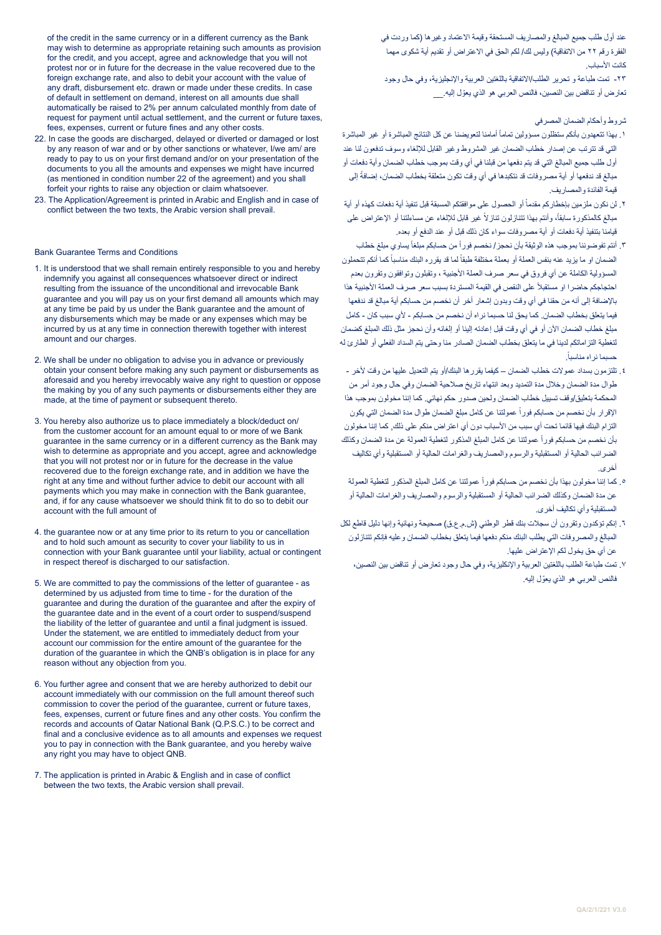of the credit in the same currency or in a different currency as the Bank may wish to determine as appropriate retaining such amounts as provision for the credit, and you accept, agree and acknowledge that you will not protest nor or in future for the decrease in the value recovered due to the foreign exchange rate, and also to debit your account with the value of any draft, disbursement etc. drawn or made under these credits. In case of default in settlement on demand, interest on all amounts due shall automatically be raised to 2% per annum calculated monthly from date of request for payment until actual settlement, and the current or future taxes, fees, expenses, current or future fines and any other costs.

- 22. In case the goods are discharged, delayed or diverted or damaged or lost by any reason of war and or by other sanctions or whatever, I/we am/ are ready to pay to us on your first demand and/or on your presentation of the documents to you all the amounts and expenses we might have incurred (as mentioned in condition number 22 of the agreement) and you shall forfeit your rights to raise any objection or claim whatsoever.
- 23. The Application/Agreement is printed in Arabic and English and in case of conflict between the two texts, the Arabic version shall prevail.

#### Bank Guarantee Terms and Conditions

- 1. It is understood that we shall remain entirely responsible to you and hereby indemnify you against all consequences whatsoever direct or indirect resulting from the issuance of the unconditional and irrevocable Bank guarantee and you will pay us on your first demand all amounts which may at any time be paid by us under the Bank guarantee and the amount of any disbursements which may be made or any expenses which may be incurred by us at any time in connection therewith together with interest amount and our charges.
- 2. We shall be under no obligation to advise you in advance or previously obtain your consent before making any such payment or disbursements as aforesaid and you hereby irrevocably waive any right to question or oppose the making by you of any such payments or disbursements either they are made, at the time of payment or subsequent thereto.
- 3. You hereby also authorize us to place immediately a block/deduct on/ from the customer account for an amount equal to or more of we Bank guarantee in the same currency or in a different currency as the Bank may wish to determine as appropriate and you accept, agree and acknowledge that you will not protest nor or in future for the decrease in the value recovered due to the foreign exchange rate, and in addition we have the right at any time and without further advice to debit our account with all payments which you may make in connection with the Bank guarantee, and, if for any cause whatsoever we should think fit to do so to debit our account with the full amount of
- 4. the guarantee now or at any time prior to its return to you or cancellation and to hold such amount as security to cover your liability to us in connection with your Bank guarantee until your liability, actual or contingent in respect thereof is discharged to our satisfaction.
- 5. We are committed to pay the commissions of the letter of guarantee as determined by us adjusted from time to time - for the duration of the guarantee and during the duration of the guarantee and after the expiry of the guarantee date and in the event of a court order to suspend/suspend the liability of the letter of guarantee and until a final judgment is issued. Under the statement, we are entitled to immediately deduct from your account our commission for the entire amount of the guarantee for the duration of the guarantee in which the QNB's obligation is in place for any reason without any objection from you.
- 6. You further agree and consent that we are hereby authorized to debit our account immediately with our commission on the full amount thereof such commission to cover the period of the guarantee, current or future taxes, fees, expenses, current or future fines and any other costs. You confirm the records and accounts of Qatar National Bank (Q.P.S.C.) to be correct and final and a conclusive evidence as to all amounts and expenses we request you to pay in connection with the Bank guarantee, and you hereby waive any right you may have to object QNB.
- 7. The application is printed in Arabic & English and in case of conflict between the two texts, the Arabic version shall prevail.

عند أول طلب جميع المبالغ والمصاريف المستحقة وقيمة االعتماد وغيرها )كما وردت في الفقرة رقم ٢٢ من الاتفاقية) وليس لك/ لكم الحق في الاعتراض أو تقديم أية شكوى مهما كانت الأسباب

-23 تمت طباعة و تحرير الطلب/االتفاقية باللغتين العربية واإلنجليزية، وفي حال وجود تعارض أو تناقض بين النصين، فالنص العربي هو الذي يعوّل إليه.

## شروط وأحكام الضمان المصرفي

- ١ ـ بهذا تتعهدون بأنكم ستظلون مسؤولين تماماً أمامنا لتعويضنا عن كل النتائج المباشرة أو غير المباشرة التي قد تترتب عن إصدار خطاب الضمان غير المشروط وغير القابل لإللغاء وسوف تدفعون لنا عند أول طلب جمیع المبالغ التي قد یتم دفعھا من قبلنا في أي وقت بموجب خطاب الضمان وأیة دفعات أو مبالغ قد ندفعها أو أية مصروفات قد نتكبدها في أي وقت تكون متعلقة بخطاب الضمان، إضافةً إلى قیمة الفائدة والمصاریف.
- ٢ . لن نكون ملزمين بإخطاركم مقدماً أو الحصول على موافقتكم المسبقة قبل تنفيذ أية دفعات كهذه أو أية مبالغ كالمذكورة سابقاً، وأنتم بهذا تتنازلون تنازلاً غير قابل للإلغاء عن مساءلتنا أو الإعتراض على قيامنا بتنفیذ أیة دفعات أو أیة مصروفات سواء كان ذلك قبل أو عند الدفع أو بعده.
- ٢. أنتم تفوضوننا بموجب هذه الوثيقة بأن نحجز / نخصم فور أ من حسابكم مبلغاً يساوي مبلغ خطاب الضمان او ما يزيد عنه بنفس العملة أو بعملة مختلفة طبقاً لما قد يقرره البنك مناسباً كما أنكم تتحملون المسؤولیة الكاملة عن أي فروق في سعر صرف العملة األجنبیة ، وتقبلون وتوافقون وتقرون بعدم احتجاجكم حاضرا او مستقبلاً على النقص في القيمة المستردة بسبب سعر صرف العملة الأجنبية هذا باإلضافة إلى أنه من حقنا في أي وقت وبدون إشعار أخر أن نخصم من حسابكم أیة مبالغ قد ندفعها فیما یتعلق بخطاب الضمان. كما یحق لنا حسبما نراه أن نخصم من حسابكم - ألي سبب كان - كامل مبلغ خطاب الضمان اآلن أو في أي وقت قبل إعادته إلينا أو إلغائه وأن نحجز مثل ذلك المبلغ كضمان لتغطیة التزاماتكم لدينا في ما یتعلق بخطاب الضمان الصادر منا وحتى یتم السداد الفعلي أو الطارئ له .ً حسبما نراه مناسبا
- .4 تلتزمون بسداد عموالت خطاب الضمان كیفما یقررھا البنك/أو یتم التعدیل علیھا من وقت ألخر طوال مدة الضمان وخالل مدة التمدید وبعد انتھاء تاریخ صالحیة الضمان وفي حال وجود أمر من المحكمة بتعلیق/وقف تسييل خطاب الضمان ولحین صدور حكم نھائي. كما إننا مخولون بموجب ھذا الإقرار بأن نخصم من حسابكم فور أ عمولتنا عن كامل مبلغ الضمان لهوال مدة الضمان التي يكون التزام البنك فیھا قائما تحت أي سبب من األسباب دون أي اعتراض منكم على ذلك, كما إننا مخولون بأن نخصم من حسابكم فور أ عمولتنا عن كامل المبلغ المذكور لتغطية العمولة عن مدة الضمان وكذلك الضرائب الحالیة أو المستقبلیة والرسوم والمصاریف والغرامات الحالیة أو المستقبلیة وأي تكالیف أخرى.
	- ۰ كما إننا مخولون بهذا بأن نخصم من حسابكم فوراً عمولتنا عن كامل المبلغ المذكور لتغطية العمولة عن مدة الضمان وكذلك الضرائب الحالیة أو المستقبلیة والرسوم والمصاریف والغرامات الحالیة أو المستقبلیة وأي تكالیف أخرى.
- .6 إنكم تؤكدون وتقرون أن سجالت بنك قطر الوطني )ش.م.ع.ق( صحیحة ونھائیة وإنھا دلیل قاطع لكل المبالغ والمصروفات التي یطلب البنك منكم دفعھا فیما یتعلق بخطاب الضمان وعليه فإنكم تتنازلون عن أي حق یخول لكم اإلعتراض علیھا.
	- .7 تمت طباعة الطلب باللغتین العربیة واإلنكلیزیة، وفي حال وجود تعارض أو تناقض بین النصین، فالنص العربي هو الذي يعوّل إليه.